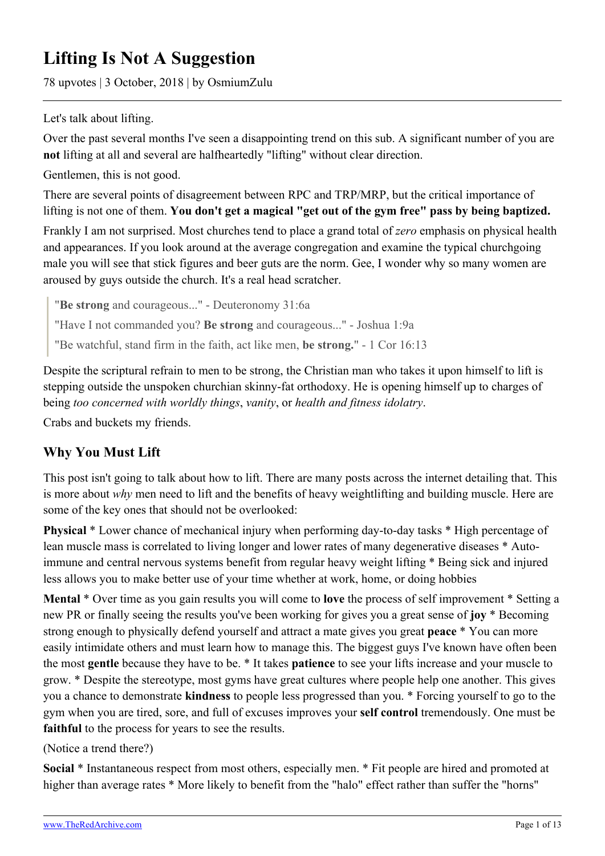# **Lifting Is Not A Suggestion**

78 upvotes | 3 October, 2018 | by OsmiumZulu

Let's talk about lifting.

Over the past several months I've seen a disappointing trend on this sub. A significant number of you are **not** lifting at all and several are halfheartedly "lifting" without clear direction.

Gentlemen, this is not good.

There are several points of disagreement between RPC and TRP/MRP, but the critical importance of lifting is not one of them. **You don't get a magical "get out of the gym free" pass by being baptized.**

Frankly I am not surprised. Most churches tend to place a grand total of *zero* emphasis on physical health and appearances. If you look around at the average congregation and examine the typical churchgoing male you will see that stick figures and beer guts are the norm. Gee, I wonder why so many women are aroused by guys outside the church. It's a real head scratcher.

"**Be strong** and courageous..." - Deuteronomy 31:6a

"Have I not commanded you? **Be strong** and courageous..." - Joshua 1:9a

"Be watchful, stand firm in the faith, act like men, **be strong.**" - 1 Cor 16:13

Despite the scriptural refrain to men to be strong, the Christian man who takes it upon himself to lift is stepping outside the unspoken churchian skinny-fat orthodoxy. He is opening himself up to charges of being *too concerned with worldly things*, *vanity*, or *health and fitness idolatry*.

Crabs and buckets my friends.

## **Why You Must Lift**

This post isn't going to talk about how to lift. There are many posts across the internet detailing that. This is more about *why* men need to lift and the benefits of heavy weightlifting and building muscle. Here are some of the key ones that should not be overlooked:

**Physical** \* Lower chance of mechanical injury when performing day-to-day tasks \* High percentage of lean muscle mass is correlated to living longer and lower rates of many degenerative diseases \* Autoimmune and central nervous systems benefit from regular heavy weight lifting \* Being sick and injured less allows you to make better use of your time whether at work, home, or doing hobbies

**Mental** \* Over time as you gain results you will come to **love** the process of self improvement \* Setting a new PR or finally seeing the results you've been working for gives you a great sense of **joy** \* Becoming strong enough to physically defend yourself and attract a mate gives you great **peace** \* You can more easily intimidate others and must learn how to manage this. The biggest guys I've known have often been the most **gentle** because they have to be. \* It takes **patience** to see your lifts increase and your muscle to grow. \* Despite the stereotype, most gyms have great cultures where people help one another. This gives you a chance to demonstrate **kindness** to people less progressed than you. \* Forcing yourself to go to the gym when you are tired, sore, and full of excuses improves your **self control** tremendously. One must be **faithful** to the process for years to see the results.

(Notice a trend there?)

**Social** \* Instantaneous respect from most others, especially men. \* Fit people are hired and promoted at higher than average rates \* More likely to benefit from the "halo" effect rather than suffer the "horns"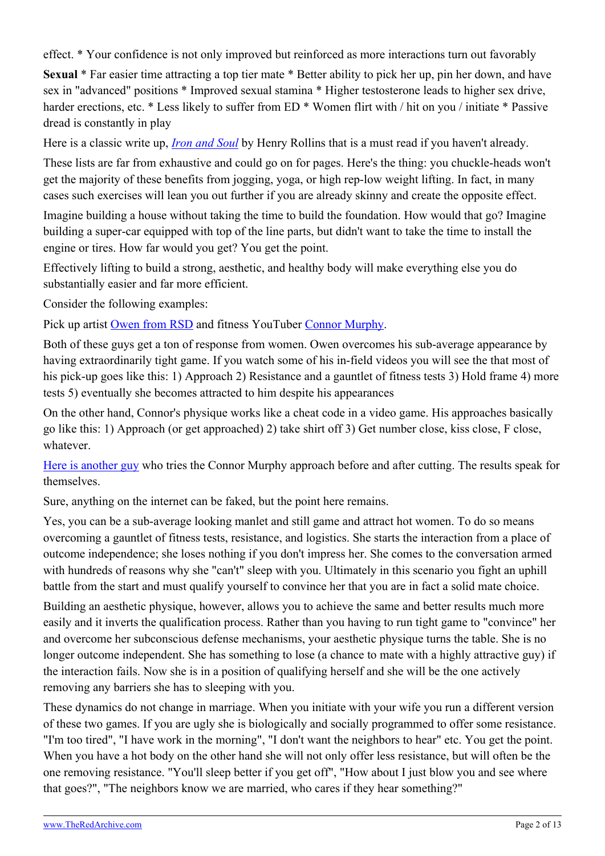effect. \* Your confidence is not only improved but reinforced as more interactions turn out favorably

**Sexual** \* Far easier time attracting a top tier mate \* Better ability to pick her up, pin her down, and have sex in "advanced" positions \* Improved sexual stamina \* Higher testosterone leads to higher sex drive, harder erections, etc. \* Less likely to suffer from ED \* Women flirt with / hit on you / initiate \* Passive dread is constantly in play

Here is a classic write up, *[Iron and Soul](https://www.artofmanliness.com/articles/henry-rollins-iron-and-soul/)* by Henry Rollins that is a must read if you haven't already.

These lists are far from exhaustive and could go on for pages. Here's the thing: you chuckle-heads won't get the majority of these benefits from jogging, yoga, or high rep-low weight lifting. In fact, in many cases such exercises will lean you out further if you are already skinny and create the opposite effect.

Imagine building a house without taking the time to build the foundation. How would that go? Imagine building a super-car equipped with top of the line parts, but didn't want to take the time to install the engine or tires. How far would you get? You get the point.

Effectively lifting to build a strong, aesthetic, and healthy body will make everything else you do substantially easier and far more efficient.

Consider the following examples:

Pick up artist [Owen from RSD](https://www.youtube.com/watch?v=HDbI10CQUs8) and fitness YouTuber [Connor Murphy.](https://www.youtube.com/watch?v=tG4sKioLAxw)

Both of these guys get a ton of response from women. Owen overcomes his sub-average appearance by having extraordinarily tight game. If you watch some of his in-field videos you will see the that most of his pick-up goes like this: 1) Approach 2) Resistance and a gauntlet of fitness tests 3) Hold frame 4) more tests 5) eventually she becomes attracted to him despite his appearances

On the other hand, Connor's physique works like a cheat code in a video game. His approaches basically go like this: 1) Approach (or get approached) 2) take shirt off 3) Get number close, kiss close, F close, whatever.

[Here is another guy](https://www.youtube.com/watch?v=nKzlQ5V5XyU) who tries the Connor Murphy approach before and after cutting. The results speak for themselves.

Sure, anything on the internet can be faked, but the point here remains.

Yes, you can be a sub-average looking manlet and still game and attract hot women. To do so means overcoming a gauntlet of fitness tests, resistance, and logistics. She starts the interaction from a place of outcome independence; she loses nothing if you don't impress her. She comes to the conversation armed with hundreds of reasons why she "can't" sleep with you. Ultimately in this scenario you fight an uphill battle from the start and must qualify yourself to convince her that you are in fact a solid mate choice.

Building an aesthetic physique, however, allows you to achieve the same and better results much more easily and it inverts the qualification process. Rather than you having to run tight game to "convince" her and overcome her subconscious defense mechanisms, your aesthetic physique turns the table. She is no longer outcome independent. She has something to lose (a chance to mate with a highly attractive guy) if the interaction fails. Now she is in a position of qualifying herself and she will be the one actively removing any barriers she has to sleeping with you.

These dynamics do not change in marriage. When you initiate with your wife you run a different version of these two games. If you are ugly she is biologically and socially programmed to offer some resistance. "I'm too tired", "I have work in the morning", "I don't want the neighbors to hear" etc. You get the point. When you have a hot body on the other hand she will not only offer less resistance, but will often be the one removing resistance. "You'll sleep better if you get off", "How about I just blow you and see where that goes?", "The neighbors know we are married, who cares if they hear something?"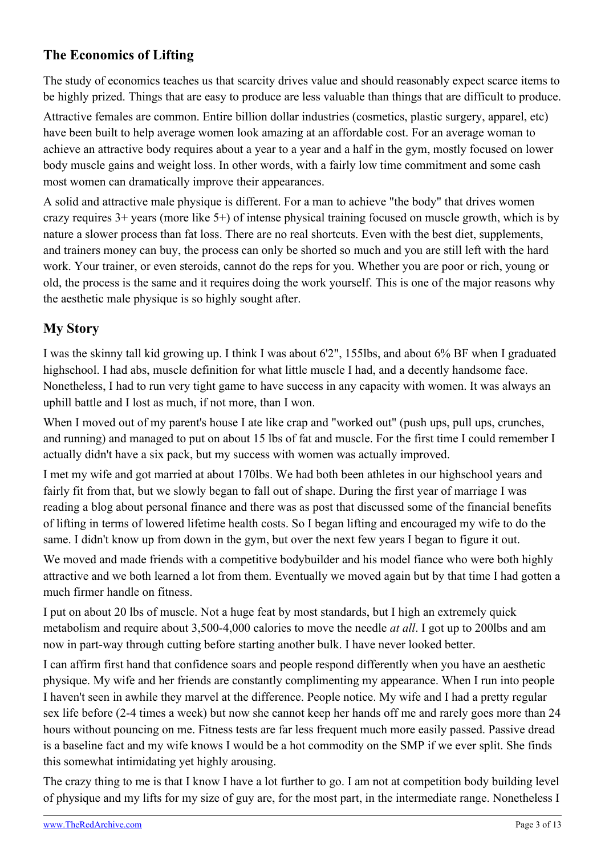## **The Economics of Lifting**

The study of economics teaches us that scarcity drives value and should reasonably expect scarce items to be highly prized. Things that are easy to produce are less valuable than things that are difficult to produce.

Attractive females are common. Entire billion dollar industries (cosmetics, plastic surgery, apparel, etc) have been built to help average women look amazing at an affordable cost. For an average woman to achieve an attractive body requires about a year to a year and a half in the gym, mostly focused on lower body muscle gains and weight loss. In other words, with a fairly low time commitment and some cash most women can dramatically improve their appearances.

A solid and attractive male physique is different. For a man to achieve "the body" that drives women crazy requires 3+ years (more like 5+) of intense physical training focused on muscle growth, which is by nature a slower process than fat loss. There are no real shortcuts. Even with the best diet, supplements, and trainers money can buy, the process can only be shorted so much and you are still left with the hard work. Your trainer, or even steroids, cannot do the reps for you. Whether you are poor or rich, young or old, the process is the same and it requires doing the work yourself. This is one of the major reasons why the aesthetic male physique is so highly sought after.

### **My Story**

I was the skinny tall kid growing up. I think I was about 6'2", 155lbs, and about 6% BF when I graduated highschool. I had abs, muscle definition for what little muscle I had, and a decently handsome face. Nonetheless, I had to run very tight game to have success in any capacity with women. It was always an uphill battle and I lost as much, if not more, than I won.

When I moved out of my parent's house I ate like crap and "worked out" (push ups, pull ups, crunches, and running) and managed to put on about 15 lbs of fat and muscle. For the first time I could remember I actually didn't have a six pack, but my success with women was actually improved.

I met my wife and got married at about 170lbs. We had both been athletes in our highschool years and fairly fit from that, but we slowly began to fall out of shape. During the first year of marriage I was reading a blog about personal finance and there was as post that discussed some of the financial benefits of lifting in terms of lowered lifetime health costs. So I began lifting and encouraged my wife to do the same. I didn't know up from down in the gym, but over the next few years I began to figure it out.

We moved and made friends with a competitive bodybuilder and his model fiance who were both highly attractive and we both learned a lot from them. Eventually we moved again but by that time I had gotten a much firmer handle on fitness.

I put on about 20 lbs of muscle. Not a huge feat by most standards, but I high an extremely quick metabolism and require about 3,500-4,000 calories to move the needle *at all*. I got up to 200lbs and am now in part-way through cutting before starting another bulk. I have never looked better.

I can affirm first hand that confidence soars and people respond differently when you have an aesthetic physique. My wife and her friends are constantly complimenting my appearance. When I run into people I haven't seen in awhile they marvel at the difference. People notice. My wife and I had a pretty regular sex life before (2-4 times a week) but now she cannot keep her hands off me and rarely goes more than 24 hours without pouncing on me. Fitness tests are far less frequent much more easily passed. Passive dread is a baseline fact and my wife knows I would be a hot commodity on the SMP if we ever split. She finds this somewhat intimidating yet highly arousing.

The crazy thing to me is that I know I have a lot further to go. I am not at competition body building level of physique and my lifts for my size of guy are, for the most part, in the intermediate range. Nonetheless I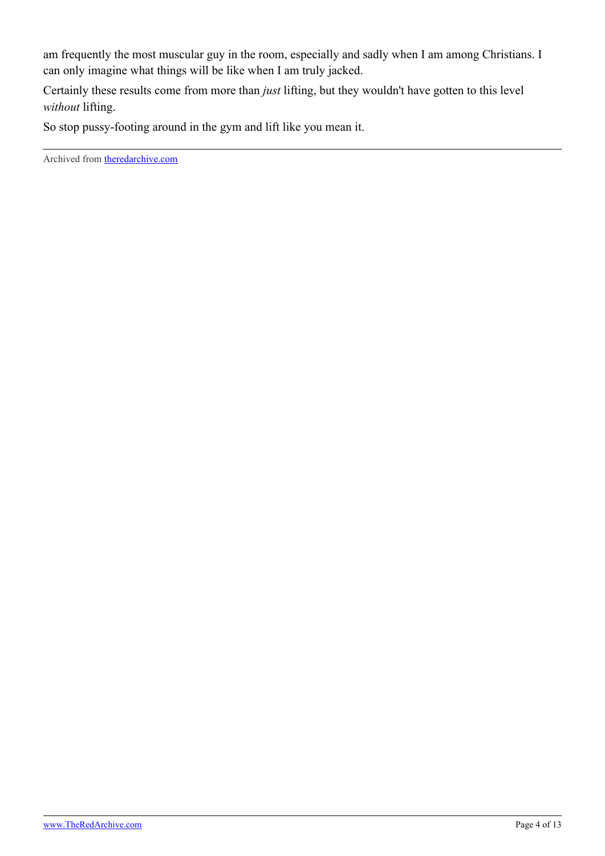am frequently the most muscular guy in the room, especially and sadly when I am among Christians. I can only imagine what things will be like when I am truly jacked.

Certainly these results come from more than *just* lifting, but they wouldn't have gotten to this level *without* lifting.

So stop pussy-footing around in the gym and lift like you mean it.

Archived from [theredarchive.com](https://theredarchive.com/r/RPChristians/lifting-is-not-a-suggestion.301699)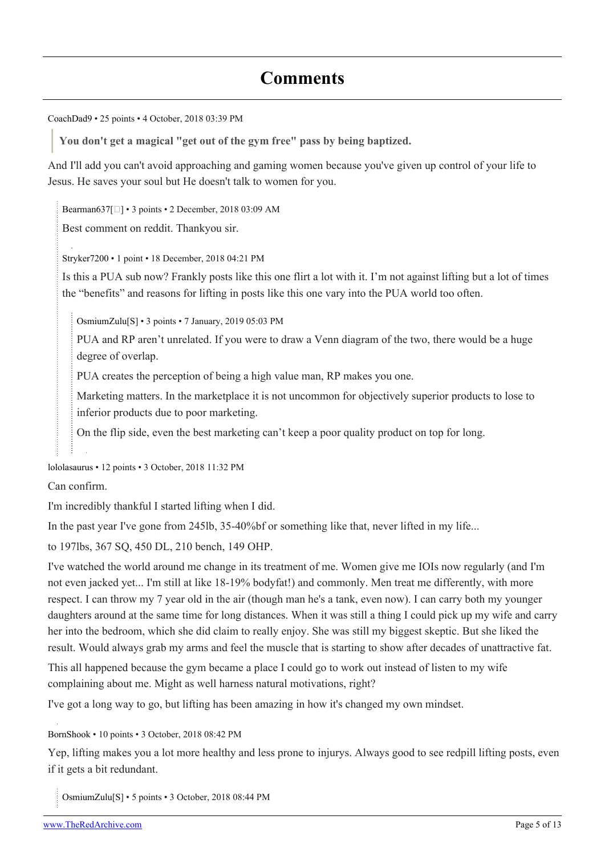## **Comments**

[CoachDad9](https://old.reddit.com/user/CoachDad9) • 25 points • 4 October, 2018 03:39 PM

**You don't get a magical "get out of the gym free" pass by being baptized.**

And I'll add you can't avoid approaching and gaming women because you've given up control of your life to Jesus. He saves your soul but He doesn't talk to women for you.

[Bearman637](https://old.reddit.com/user/Bearman637)[[\]](https://theredarchive.com/user/Bearman637) • 3 points • 2 December, 2018 03:09 AM

Best comment on reddit. Thankyou sir.

[Stryker7200](https://old.reddit.com/user/Stryker7200) • 1 point • 18 December, 2018 04:21 PM

Is this a PUA sub now? Frankly posts like this one flirt a lot with it. I'm not against lifting but a lot of times the "benefits" and reasons for lifting in posts like this one vary into the PUA world too often.

[OsmiumZulu\[](https://old.reddit.com/user/OsmiumZulu)[S](https://theredarchive.com/r/RPChristians/comments/9l4fij/lifting_is_not_a_suggestion/)] • 3 points • 7 January, 2019 05:03 PM

PUA and RP aren't unrelated. If you were to draw a Venn diagram of the two, there would be a huge degree of overlap.

PUA creates the perception of being a high value man, RP makes you one.

Marketing matters. In the marketplace it is not uncommon for objectively superior products to lose to inferior products due to poor marketing.

On the flip side, even the best marketing can't keep a poor quality product on top for long.

[lololasaurus](https://old.reddit.com/user/lololasaurus) • 12 points • 3 October, 2018 11:32 PM

Can confirm.

I'm incredibly thankful I started lifting when I did.

In the past year I've gone from 245lb, 35-40%bf or something like that, never lifted in my life...

to 197lbs, 367 SQ, 450 DL, 210 bench, 149 OHP.

I've watched the world around me change in its treatment of me. Women give me IOIs now regularly (and I'm not even jacked yet... I'm still at like 18-19% bodyfat!) and commonly. Men treat me differently, with more respect. I can throw my 7 year old in the air (though man he's a tank, even now). I can carry both my younger daughters around at the same time for long distances. When it was still a thing I could pick up my wife and carry her into the bedroom, which she did claim to really enjoy. She was still my biggest skeptic. But she liked the result. Would always grab my arms and feel the muscle that is starting to show after decades of unattractive fat.

This all happened because the gym became a place I could go to work out instead of listen to my wife complaining about me. Might as well harness natural motivations, right?

I've got a long way to go, but lifting has been amazing in how it's changed my own mindset.

[BornShook](https://old.reddit.com/user/BornShook) • 10 points • 3 October, 2018 08:42 PM

Yep, lifting makes you a lot more healthy and less prone to injurys. Always good to see redpill lifting posts, even if it gets a bit redundant.

[OsmiumZulu\[](https://old.reddit.com/user/OsmiumZulu)[S\]](https://theredarchive.com/r/RPChristians/comments/9l4fij/lifting_is_not_a_suggestion/) • 5 points • 3 October, 2018 08:44 PM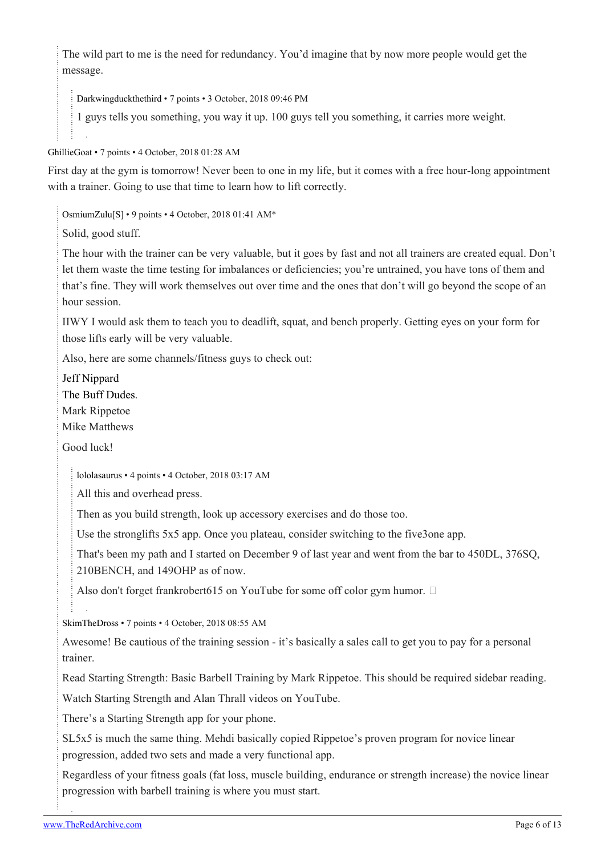The wild part to me is the need for redundancy. You'd imagine that by now more people would get the message.

[Darkwingduckthethird](https://old.reddit.com/user/Darkwingduckthethird) • 7 points • 3 October, 2018 09:46 PM

1 guys tells you something, you way it up. 100 guys tell you something, it carries more weight.

[GhillieGoat](https://old.reddit.com/user/GhillieGoat) • 7 points • 4 October, 2018 01:28 AM

First day at the gym is tomorrow! Never been to one in my life, but it comes with a free hour-long appointment with a trainer. Going to use that time to learn how to lift correctly.

[OsmiumZulu\[](https://old.reddit.com/user/OsmiumZulu)[S\]](https://theredarchive.com/r/RPChristians/comments/9l4fij/lifting_is_not_a_suggestion/) • 9 points • 4 October, 2018 01:41 AM\*

Solid, good stuff.

The hour with the trainer can be very valuable, but it goes by fast and not all trainers are created equal. Don't let them waste the time testing for imbalances or deficiencies; you're untrained, you have tons of them and that's fine. They will work themselves out over time and the ones that don't will go beyond the scope of an hour session.

IIWY I would ask them to teach you to deadlift, squat, and bench properly. Getting eyes on your form for those lifts early will be very valuable.

Also, here are some channels/fitness guys to check out:

[Jeff Nippard](https://youtu.be/vyiQw-qiv80) [The Buff Dudes.](https://youtu.be/gRVjAtPip0Y)

Mark Rippetoe

Mike Matthews

Good luck!

[lololasaurus](https://old.reddit.com/user/lololasaurus) • 4 points • 4 October, 2018 03:17 AM

All this and overhead press.

Then as you build strength, look up accessory exercises and do those too.

Use the stronglifts 5x5 app. Once you plateau, consider switching to the five3one app.

That's been my path and I started on December 9 of last year and went from the bar to 450DL, 376SQ, 210BENCH, and 149OHP as of now.

Also don't forget frankrobert615 on YouTube for some off color gym humor.  $\square$ 

[SkimTheDross](https://old.reddit.com/user/SkimTheDross) • 7 points • 4 October, 2018 08:55 AM

Awesome! Be cautious of the training session - it's basically a sales call to get you to pay for a personal trainer.

Read Starting Strength: Basic Barbell Training by Mark Rippetoe. This should be required sidebar reading.

Watch Starting Strength and Alan Thrall videos on YouTube.

There's a Starting Strength app for your phone.

SL5x5 is much the same thing. Mehdi basically copied Rippetoe's proven program for novice linear progression, added two sets and made a very functional app.

Regardless of your fitness goals (fat loss, muscle building, endurance or strength increase) the novice linear progression with barbell training is where you must start.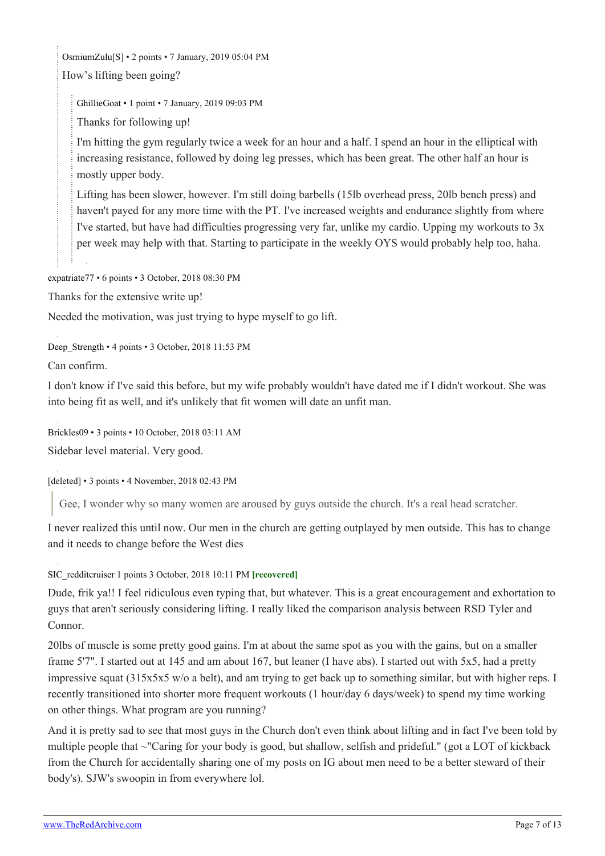[OsmiumZulu\[](https://old.reddit.com/user/OsmiumZulu)[S\]](https://theredarchive.com/r/RPChristians/comments/9l4fij/lifting_is_not_a_suggestion/) • 2 points • 7 January, 2019 05:04 PM How's lifting been going?

[GhillieGoat](https://old.reddit.com/user/GhillieGoat) • 1 point • 7 January, 2019 09:03 PM

Thanks for following up!

I'm hitting the gym regularly twice a week for an hour and a half. I spend an hour in the elliptical with increasing resistance, followed by doing leg presses, which has been great. The other half an hour is mostly upper body.

Lifting has been slower, however. I'm still doing barbells (15lb overhead press, 20lb bench press) and haven't payed for any more time with the PT. I've increased weights and endurance slightly from where I've started, but have had difficulties progressing very far, unlike my cardio. Upping my workouts to 3x per week may help with that. Starting to participate in the weekly OYS would probably help too, haha.

[expatriate77](https://old.reddit.com/user/expatriate77) • 6 points • 3 October, 2018 08:30 PM

Thanks for the extensive write up!

Needed the motivation, was just trying to hype myself to go lift.

Deep Strength • 4 points • 3 October, 2018 11:53 PM

Can confirm.

I don't know if I've said this before, but my wife probably wouldn't have dated me if I didn't workout. She was into being fit as well, and it's unlikely that fit women will date an unfit man.

[Brickles09](https://old.reddit.com/user/Brickles09) • 3 points • 10 October, 2018 03:11 AM

Sidebar level material. Very good.

[deleted] • 3 points • 4 November, 2018 02:43 PM

Gee, I wonder why so many women are aroused by guys outside the church. It's a real head scratcher.

I never realized this until now. Our men in the church are getting outplayed by men outside. This has to change and it needs to change before the West dies

[SIC\\_redditcruiser](https://old.reddit.com/user/SIC_redditcruiser) 1 points 3 October, 2018 10:11 PM **[recovered]**

Dude, frik ya!! I feel ridiculous even typing that, but whatever. This is a great encouragement and exhortation to guys that aren't seriously considering lifting. I really liked the comparison analysis between RSD Tyler and Connor.

20lbs of muscle is some pretty good gains. I'm at about the same spot as you with the gains, but on a smaller frame 5'7". I started out at 145 and am about 167, but leaner (I have abs). I started out with 5x5, had a pretty impressive squat (315x5x5 w/o a belt), and am trying to get back up to something similar, but with higher reps. I recently transitioned into shorter more frequent workouts (1 hour/day 6 days/week) to spend my time working on other things. What program are you running?

And it is pretty sad to see that most guys in the Church don't even think about lifting and in fact I've been told by multiple people that ~"Caring for your body is good, but shallow, selfish and prideful." (got a LOT of kickback from the Church for accidentally sharing one of my posts on IG about men need to be a better steward of their body's). SJW's swoopin in from everywhere lol.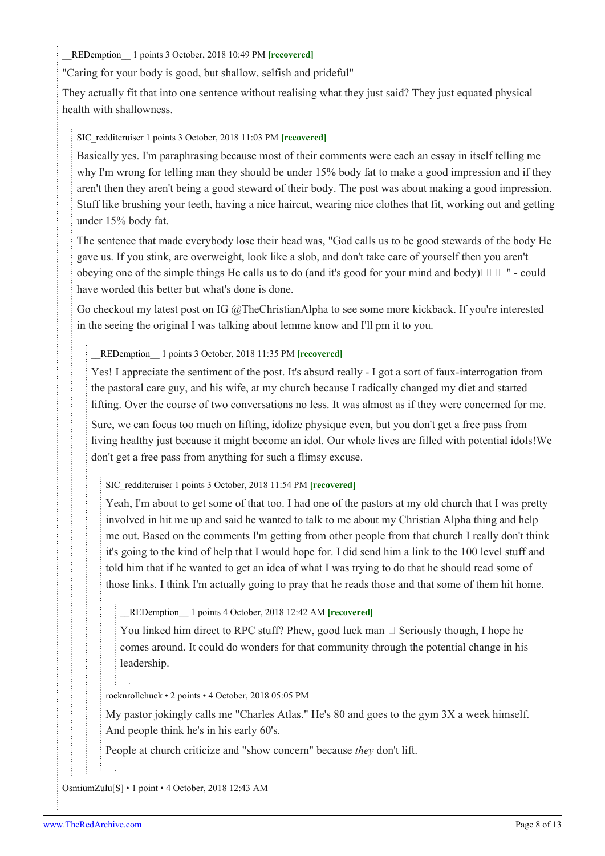[\\_\\_REDemption\\_\\_](https://old.reddit.com/user/__REDemption__) 1 points 3 October, 2018 10:49 PM **[recovered]**

"Caring for your body is good, but shallow, selfish and prideful"

They actually fit that into one sentence without realising what they just said? They just equated physical health with shallowness.

### [SIC\\_redditcruiser](https://old.reddit.com/user/SIC_redditcruiser) 1 points 3 October, 2018 11:03 PM **[recovered]**

Basically yes. I'm paraphrasing because most of their comments were each an essay in itself telling me why I'm wrong for telling man they should be under 15% body fat to make a good impression and if they aren't then they aren't being a good steward of their body. The post was about making a good impression. Stuff like brushing your teeth, having a nice haircut, wearing nice clothes that fit, working out and getting under 15% body fat.

The sentence that made everybody lose their head was, "God calls us to be good stewards of the body He gave us. If you stink, are overweight, look like a slob, and don't take care of yourself then you aren't obeying one of the simple things He calls us to do (and it's good for your mind and body) $\Box \Box$ " - could have worded this better but what's done is done.

Go checkout my latest post on IG @TheChristianAlpha to see some more kickback. If you're interested in the seeing the original I was talking about lemme know and I'll pm it to you.

[\\_\\_REDemption\\_\\_](https://old.reddit.com/user/__REDemption__) 1 points 3 October, 2018 11:35 PM **[recovered]**

Yes! I appreciate the sentiment of the post. It's absurd really - I got a sort of faux-interrogation from the pastoral care guy, and his wife, at my church because I radically changed my diet and started lifting. Over the course of two conversations no less. It was almost as if they were concerned for me.

Sure, we can focus too much on lifting, idolize physique even, but you don't get a free pass from living healthy just because it might become an idol. Our whole lives are filled with potential idols!We don't get a free pass from anything for such a flimsy excuse.

[SIC\\_redditcruiser](https://old.reddit.com/user/SIC_redditcruiser) 1 points 3 October, 2018 11:54 PM **[recovered]**

Yeah, I'm about to get some of that too. I had one of the pastors at my old church that I was pretty involved in hit me up and said he wanted to talk to me about my Christian Alpha thing and help me out. Based on the comments I'm getting from other people from that church I really don't think it's going to the kind of help that I would hope for. I did send him a link to the 100 level stuff and told him that if he wanted to get an idea of what I was trying to do that he should read some of those links. I think I'm actually going to pray that he reads those and that some of them hit home.

[\\_\\_REDemption\\_\\_](https://old.reddit.com/user/__REDemption__) 1 points 4 October, 2018 12:42 AM **[recovered]**

You linked him direct to RPC stuff? Phew, good luck man  $\Box$  Seriously though, I hope he comes around. It could do wonders for that community through the potential change in his leadership.

[rocknrollchuck](https://old.reddit.com/user/rocknrollchuck) • 2 points • 4 October, 2018 05:05 PM

My pastor jokingly calls me "Charles Atlas." He's 80 and goes to the gym 3X a week himself. And people think he's in his early 60's.

People at church criticize and "show concern" because *they* don't lift.

[OsmiumZulu\[](https://old.reddit.com/user/OsmiumZulu)[S\]](https://theredarchive.com/r/RPChristians/comments/9l4fij/lifting_is_not_a_suggestion/) • 1 point • 4 October, 2018 12:43 AM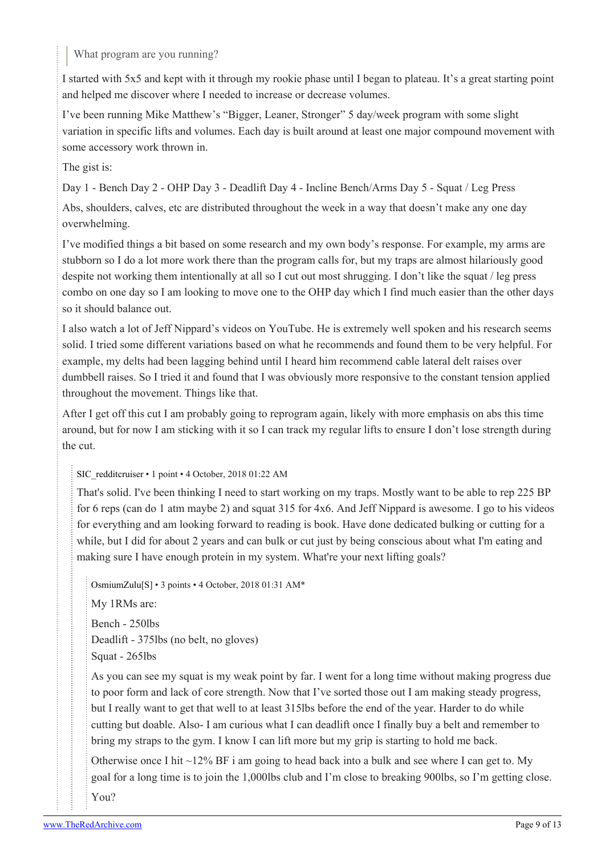What program are you running?

I started with 5x5 and kept with it through my rookie phase until I began to plateau. It's a great starting point and helped me discover where I needed to increase or decrease volumes.

I've been running Mike Matthew's "Bigger, Leaner, Stronger" 5 day/week program with some slight variation in specific lifts and volumes. Each day is built around at least one major compound movement with some accessory work thrown in.

The gist is:

Day 1 - Bench Day 2 - OHP Day 3 - Deadlift Day 4 - Incline Bench/Arms Day 5 - Squat / Leg Press

Abs, shoulders, calves, etc are distributed throughout the week in a way that doesn't make any one day overwhelming.

I've modified things a bit based on some research and my own body's response. For example, my arms are stubborn so I do a lot more work there than the program calls for, but my traps are almost hilariously good despite not working them intentionally at all so I cut out most shrugging. I don't like the squat / leg press combo on one day so I am looking to move one to the OHP day which I find much easier than the other days so it should balance out.

I also watch a lot of Jeff Nippard's videos on YouTube. He is extremely well spoken and his research seems solid. I tried some different variations based on what he recommends and found them to be very helpful. For example, my delts had been lagging behind until I heard him recommend cable lateral delt raises over dumbbell raises. So I tried it and found that I was obviously more responsive to the constant tension applied throughout the movement. Things like that.

After I get off this cut I am probably going to reprogram again, likely with more emphasis on abs this time around, but for now I am sticking with it so I can track my regular lifts to ensure I don't lose strength during the cut.

### [SIC\\_redditcruiser](https://old.reddit.com/user/SIC_redditcruiser) • 1 point • 4 October, 2018 01:22 AM

That's solid. I've been thinking I need to start working on my traps. Mostly want to be able to rep 225 BP for 6 reps (can do 1 atm maybe 2) and squat 315 for 4x6. And Jeff Nippard is awesome. I go to his videos for everything and am looking forward to reading is book. Have done dedicated bulking or cutting for a while, but I did for about 2 years and can bulk or cut just by being conscious about what I'm eating and making sure I have enough protein in my system. What're your next lifting goals?

[OsmiumZulu](https://old.reddit.com/user/OsmiumZulu)[\[S](https://theredarchive.com/r/RPChristians/comments/9l4fij/lifting_is_not_a_suggestion/)] • 3 points • 4 October, 2018 01:31 AM\*

My 1RMs are: Bench - 250lbs Deadlift - 375lbs (no belt, no gloves) Squat - 265lbs

As you can see my squat is my weak point by far. I went for a long time without making progress due to poor form and lack of core strength. Now that I've sorted those out I am making steady progress, but I really want to get that well to at least 315lbs before the end of the year. Harder to do while cutting but doable. Also- I am curious what I can deadlift once I finally buy a belt and remember to bring my straps to the gym. I know I can lift more but my grip is starting to hold me back.

Otherwise once I hit  $\sim$ 12% BF i am going to head back into a bulk and see where I can get to. My goal for a long time is to join the 1,000lbs club and I'm close to breaking 900lbs, so I'm getting close. You?

[www.TheRedArchive.com](https://theredarchive.com/) Page 9 of 13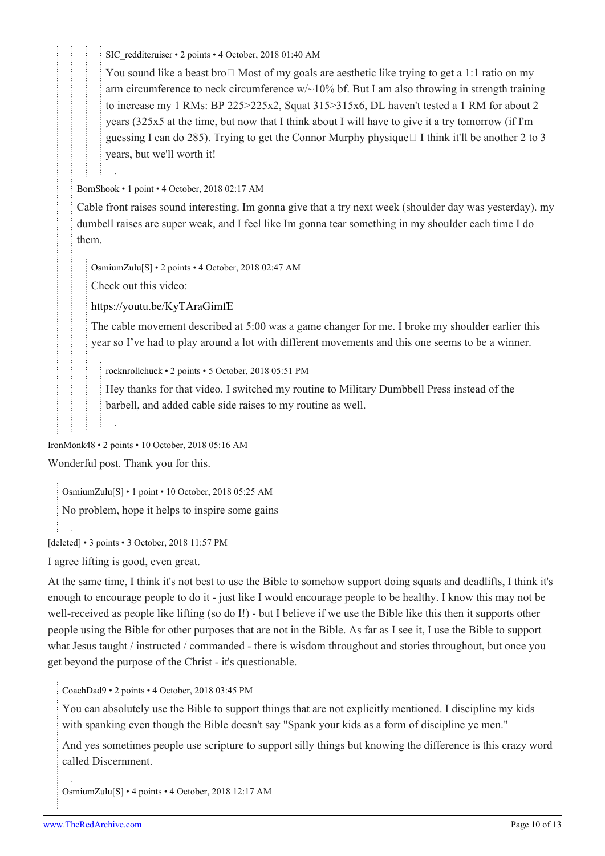[SIC\\_redditcruiser](https://old.reddit.com/user/SIC_redditcruiser) • 2 points • 4 October, 2018 01:40 AM

You sound like a beast bro  $\Box$  Most of my goals are aesthetic like trying to get a 1:1 ratio on my arm circumference to neck circumference w/~10% bf. But I am also throwing in strength training to increase my 1 RMs: BP 225>225x2, Squat 315>315x6, DL haven't tested a 1 RM for about 2 years (325x5 at the time, but now that I think about I will have to give it a try tomorrow (if I'm guessing I can do 285). Trying to get the Connor Murphy physique  $\Box$  I think it'll be another 2 to 3 years, but we'll worth it!

[BornShook](https://old.reddit.com/user/BornShook) • 1 point • 4 October, 2018 02:17 AM

Cable front raises sound interesting. Im gonna give that a try next week (shoulder day was yesterday). my dumbell raises are super weak, and I feel like Im gonna tear something in my shoulder each time I do them.

[OsmiumZulu](https://old.reddit.com/user/OsmiumZulu)[\[S](https://theredarchive.com/r/RPChristians/comments/9l4fij/lifting_is_not_a_suggestion/)] • 2 points • 4 October, 2018 02:47 AM

Check out this video:

<https://youtu.be/KyTAraGimfE>

The cable movement described at 5:00 was a game changer for me. I broke my shoulder earlier this year so I've had to play around a lot with different movements and this one seems to be a winner.

[rocknrollchuck](https://old.reddit.com/user/rocknrollchuck) • 2 points • 5 October, 2018 05:51 PM

Hey thanks for that video. I switched my routine to Military Dumbbell Press instead of the barbell, and added cable side raises to my routine as well.

[IronMonk48](https://old.reddit.com/user/IronMonk48) • 2 points • 10 October, 2018 05:16 AM Wonderful post. Thank you for this.

[OsmiumZulu\[](https://old.reddit.com/user/OsmiumZulu)[S\]](https://theredarchive.com/r/RPChristians/comments/9l4fij/lifting_is_not_a_suggestion/) • 1 point • 10 October, 2018 05:25 AM

No problem, hope it helps to inspire some gains

[deleted] • 3 points • 3 October, 2018 11:57 PM

I agree lifting is good, even great.

At the same time, I think it's not best to use the Bible to somehow support doing squats and deadlifts, I think it's enough to encourage people to do it - just like I would encourage people to be healthy. I know this may not be well-received as people like lifting (so do I!) - but I believe if we use the Bible like this then it supports other people using the Bible for other purposes that are not in the Bible. As far as I see it, I use the Bible to support what Jesus taught / instructed / commanded - there is wisdom throughout and stories throughout, but once you get beyond the purpose of the Christ - it's questionable.

[CoachDad9](https://old.reddit.com/user/CoachDad9) • 2 points • 4 October, 2018 03:45 PM

You can absolutely use the Bible to support things that are not explicitly mentioned. I discipline my kids with spanking even though the Bible doesn't say "Spank your kids as a form of discipline ye men."

And yes sometimes people use scripture to support silly things but knowing the difference is this crazy word called Discernment.

[OsmiumZulu\[](https://old.reddit.com/user/OsmiumZulu)[S\]](https://theredarchive.com/r/RPChristians/comments/9l4fij/lifting_is_not_a_suggestion/) • 4 points • 4 October, 2018 12:17 AM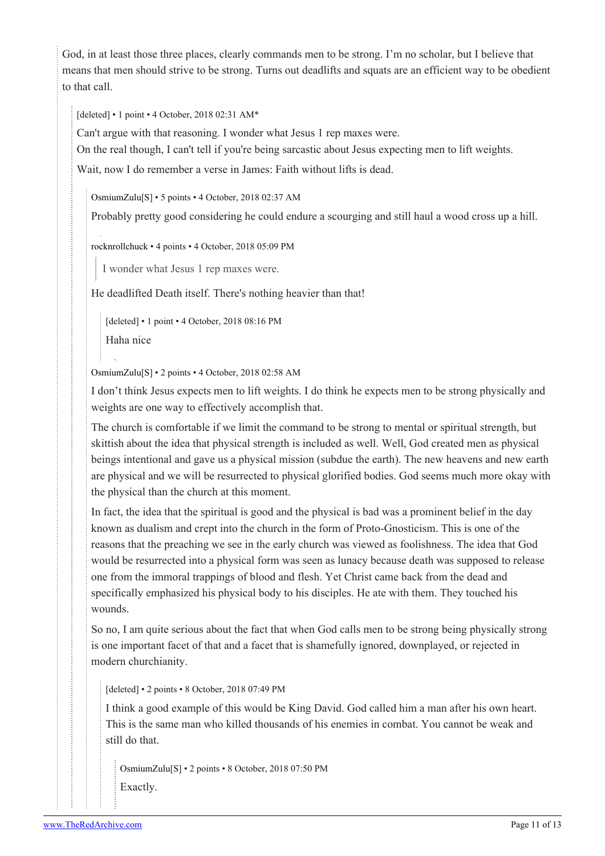God, in at least those three places, clearly commands men to be strong. I'm no scholar, but I believe that means that men should strive to be strong. Turns out deadlifts and squats are an efficient way to be obedient to that call.

[deleted] • 1 point • 4 October, 2018 02:31 AM\*

Can't argue with that reasoning. I wonder what Jesus 1 rep maxes were.

On the real though, I can't tell if you're being sarcastic about Jesus expecting men to lift weights.

Wait, now I do remember a verse in James: Faith without lifts is dead.

[OsmiumZulu](https://old.reddit.com/user/OsmiumZulu)[\[S](https://theredarchive.com/r/RPChristians/comments/9l4fij/lifting_is_not_a_suggestion/)] • 5 points • 4 October, 2018 02:37 AM

Probably pretty good considering he could endure a scourging and still haul a wood cross up a hill.

[rocknrollchuck](https://old.reddit.com/user/rocknrollchuck) • 4 points • 4 October, 2018 05:09 PM

I wonder what Jesus 1 rep maxes were.

He deadlifted Death itself. There's nothing heavier than that!

[deleted] • 1 point • 4 October, 2018 08:16 PM Haha nice

[OsmiumZulu](https://old.reddit.com/user/OsmiumZulu)[\[S](https://theredarchive.com/r/RPChristians/comments/9l4fij/lifting_is_not_a_suggestion/)] • 2 points • 4 October, 2018 02:58 AM

I don't think Jesus expects men to lift weights. I do think he expects men to be strong physically and weights are one way to effectively accomplish that.

The church is comfortable if we limit the command to be strong to mental or spiritual strength, but skittish about the idea that physical strength is included as well. Well, God created men as physical beings intentional and gave us a physical mission (subdue the earth). The new heavens and new earth are physical and we will be resurrected to physical glorified bodies. God seems much more okay with the physical than the church at this moment.

In fact, the idea that the spiritual is good and the physical is bad was a prominent belief in the day known as dualism and crept into the church in the form of Proto-Gnosticism. This is one of the reasons that the preaching we see in the early church was viewed as foolishness. The idea that God would be resurrected into a physical form was seen as lunacy because death was supposed to release one from the immoral trappings of blood and flesh. Yet Christ came back from the dead and specifically emphasized his physical body to his disciples. He ate with them. They touched his wounds.

So no, I am quite serious about the fact that when God calls men to be strong being physically strong is one important facet of that and a facet that is shamefully ignored, downplayed, or rejected in modern churchianity.

[deleted] • 2 points • 8 October, 2018 07:49 PM

I think a good example of this would be King David. God called him a man after his own heart. This is the same man who killed thousands of his enemies in combat. You cannot be weak and still do that.

```
OsmiumZulu[S] • 2 points • 8 October, 2018 07:50 PM
Exactly.
```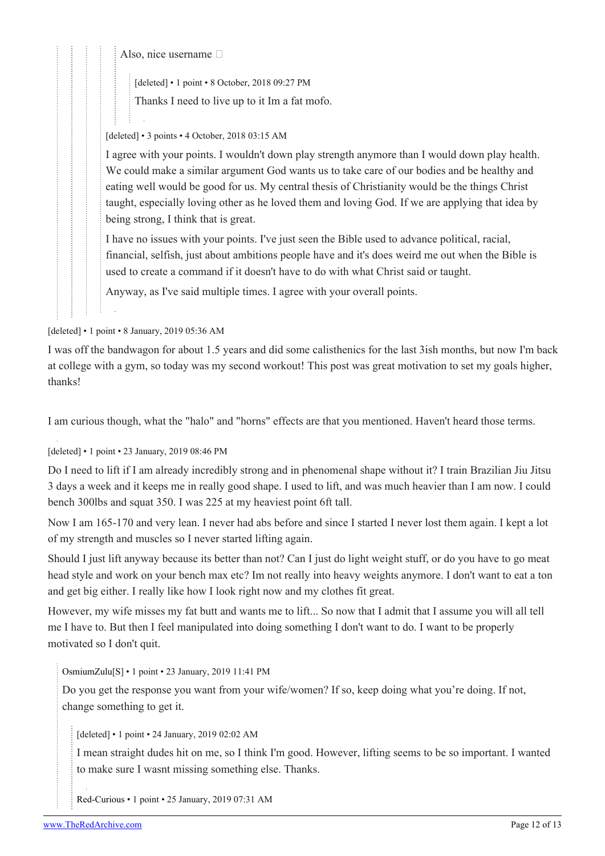Also, nice username  $\Box$ 

[deleted] • 1 point • 8 October, 2018 09:27 PM

Thanks I need to live up to it Im a fat mofo.

### [deleted] • 3 points • 4 October, 2018 03:15 AM

I agree with your points. I wouldn't down play strength anymore than I would down play health. We could make a similar argument God wants us to take care of our bodies and be healthy and eating well would be good for us. My central thesis of Christianity would be the things Christ taught, especially loving other as he loved them and loving God. If we are applying that idea by being strong, I think that is great.

I have no issues with your points. I've just seen the Bible used to advance political, racial, financial, selfish, just about ambitions people have and it's does weird me out when the Bible is used to create a command if it doesn't have to do with what Christ said or taught.

Anyway, as I've said multiple times. I agree with your overall points.

[deleted] • 1 point • 8 January, 2019 05:36 AM

I was off the bandwagon for about 1.5 years and did some calisthenics for the last 3ish months, but now I'm back at college with a gym, so today was my second workout! This post was great motivation to set my goals higher, thanks!

I am curious though, what the "halo" and "horns" effects are that you mentioned. Haven't heard those terms.

[deleted] • 1 point • 23 January, 2019 08:46 PM

Do I need to lift if I am already incredibly strong and in phenomenal shape without it? I train Brazilian Jiu Jitsu 3 days a week and it keeps me in really good shape. I used to lift, and was much heavier than I am now. I could bench 300lbs and squat 350. I was 225 at my heaviest point 6ft tall.

Now I am 165-170 and very lean. I never had abs before and since I started I never lost them again. I kept a lot of my strength and muscles so I never started lifting again.

Should I just lift anyway because its better than not? Can I just do light weight stuff, or do you have to go meat head style and work on your bench max etc? Im not really into heavy weights anymore. I don't want to eat a ton and get big either. I really like how I look right now and my clothes fit great.

However, my wife misses my fat butt and wants me to lift... So now that I admit that I assume you will all tell me I have to. But then I feel manipulated into doing something I don't want to do. I want to be properly motivated so I don't quit.

[OsmiumZulu\[](https://old.reddit.com/user/OsmiumZulu)[S\]](https://theredarchive.com/r/RPChristians/comments/9l4fij/lifting_is_not_a_suggestion/) • 1 point • 23 January, 2019 11:41 PM

Do you get the response you want from your wife/women? If so, keep doing what you're doing. If not, change something to get it.

[deleted] • 1 point • 24 January, 2019 02:02 AM

I mean straight dudes hit on me, so I think I'm good. However, lifting seems to be so important. I wanted to make sure I wasnt missing something else. Thanks.

[Red-Curious](https://old.reddit.com/user/Red-Curious) • 1 point • 25 January, 2019 07:31 AM